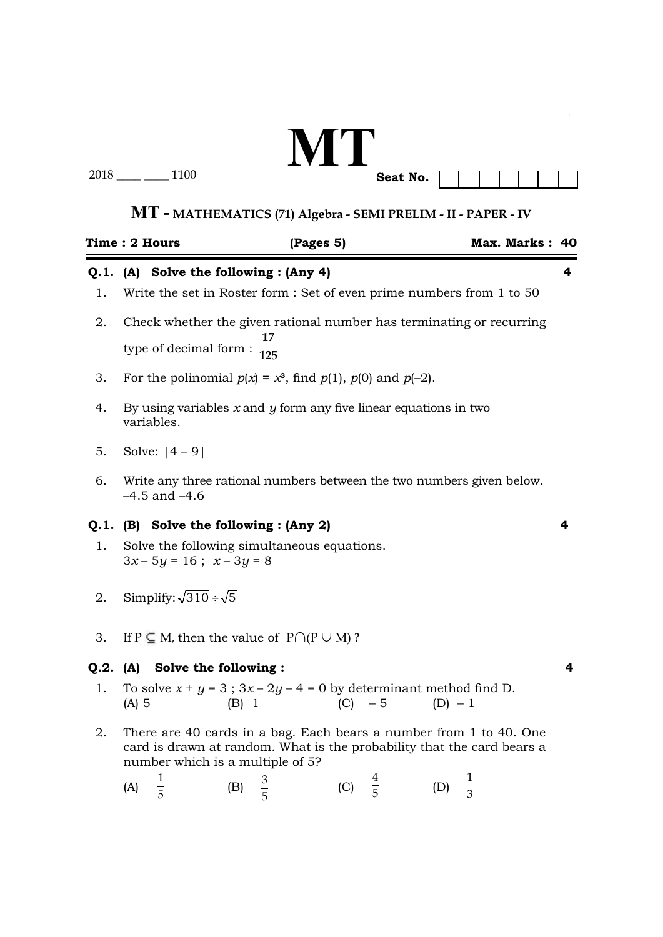# **MT Seat No.**

2018 \_\_\_\_ \_\_\_\_ 1100

|    | Time : 2 Hours                                                                                                                                                                   |       | (Pages 5) |           |               |           | Max. Marks: 40 |   |  |
|----|----------------------------------------------------------------------------------------------------------------------------------------------------------------------------------|-------|-----------|-----------|---------------|-----------|----------------|---|--|
| 1. | Q.1. (A) Solve the following : (Any 4)<br>4<br>Write the set in Roster form : Set of even prime numbers from 1 to 50                                                             |       |           |           |               |           |                |   |  |
| 2. | Check whether the given rational number has terminating or recurring<br>type of decimal form : $\frac{1}{125}$                                                                   |       |           |           |               |           |                |   |  |
| 3. | For the polinomial $p(x) = x^3$ , find $p(1)$ , $p(0)$ and $p(-2)$ .                                                                                                             |       |           |           |               |           |                |   |  |
| 4. | By using variables $x$ and $y$ form any five linear equations in two<br>variables.                                                                                               |       |           |           |               |           |                |   |  |
| 5. | Solve: $ 4 - 9 $                                                                                                                                                                 |       |           |           |               |           |                |   |  |
| 6. | Write any three rational numbers between the two numbers given below.<br>$-4.5$ and $-4.6$                                                                                       |       |           |           |               |           |                |   |  |
|    | Q.1. (B) Solve the following : (Any 2)                                                                                                                                           |       |           |           |               |           |                | 4 |  |
| 1. | Solve the following simultaneous equations.<br>$3x-5y=16$ ; $x-3y=8$                                                                                                             |       |           |           |               |           |                |   |  |
| 2. | Simplify: $\sqrt{310} \div \sqrt{5}$                                                                                                                                             |       |           |           |               |           |                |   |  |
| 3. | If $P \subseteq M$ , then the value of $P \cap (P \cup M)$ ?                                                                                                                     |       |           |           |               |           |                |   |  |
|    | Q.2. (A) Solve the following :                                                                                                                                                   |       |           |           |               |           |                | 4 |  |
| 1. | To solve $x + y = 3$ ; $3x - 2y - 4 = 0$ by determinant method find D.<br>$(A)$ 5                                                                                                | (B) 1 |           | $(C) - 5$ |               | $(D) - 1$ |                |   |  |
| 2. | There are 40 cards in a bag. Each bears a number from 1 to 40. One<br>card is drawn at random. What is the probability that the card bears a<br>number which is a multiple of 5? |       |           |           |               |           |                |   |  |
|    | (A)                                                                                                                                                                              | (B)   |           | (C)       | $\frac{4}{5}$ | (D)       |                |   |  |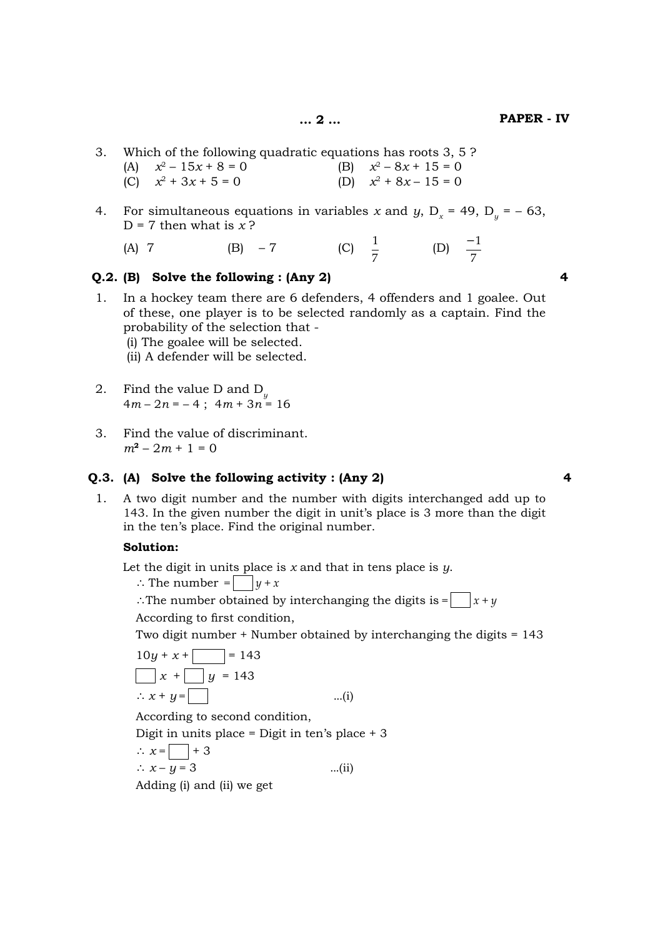- 3. Which of the following quadratic equations has roots 3, 5 ? (A)  $x^2 - 15x + 8 = 0$  (B)  $x^2 - 8x + 15 = 0$ 
	- (C)  $x^2 + 3x + 5 = 0$  (D)  $x^2 + 8x 15 = 0$
- 4. For simultaneous equations in variables *x* and *y*,  $D_x = 49$ ,  $D_y = -63$ ,  $D = 7$  then what is  $x$ ?

| (C) $\frac{1}{7}$<br>$(A)$ 7<br>$(B) -7$ |  | (D) $\frac{-1}{7}$ |
|------------------------------------------|--|--------------------|
|------------------------------------------|--|--------------------|

## **Q.2. (B) Solve the following : (Any 2) 4**

1. In a hockey team there are 6 defenders, 4 offenders and 1 goalee. Out of these, one player is to be selected randomly as a captain. Find the probability of the selection that - (i) The goalee will be selected.

(ii) A defender will be selected.

- 2. Find the value D and D *y*  $4m - 2n = -4$ ;  $4m + 3n = 16$
- 3. Find the value of discriminant.  $m^2 - 2m + 1 = 0$

#### **Q.3. (A) Solve the following activity : (Any 2) 4**

1. A two digit number and the number with digits interchanged add up to 143. In the given number the digit in unit's place is 3 more than the digit in the ten's place. Find the original number.

#### **Solution:**

Let the digit in units place is *x* and that in tens place is *y*.

 $\therefore$  The number =  $\bigcup y + x$ 

 $\therefore$  The number obtained by interchanging the digits is =  $\int |x + y|$ According to first condition,

Two digit number + Number obtained by interchanging the digits = 143

 10*y* + *x* + 3 = 143 3 *x* + 3 *y* = 143 \ *x* + *y* = 3 ...(i)

According to second condition,

Digit in units place = Digit in ten's place + 3

$$
\therefore x = \boxed{\phantom{0}} + 3
$$
  
\n
$$
\therefore x - y = 3
$$
 ...(ii)

Adding (i) and (ii) we get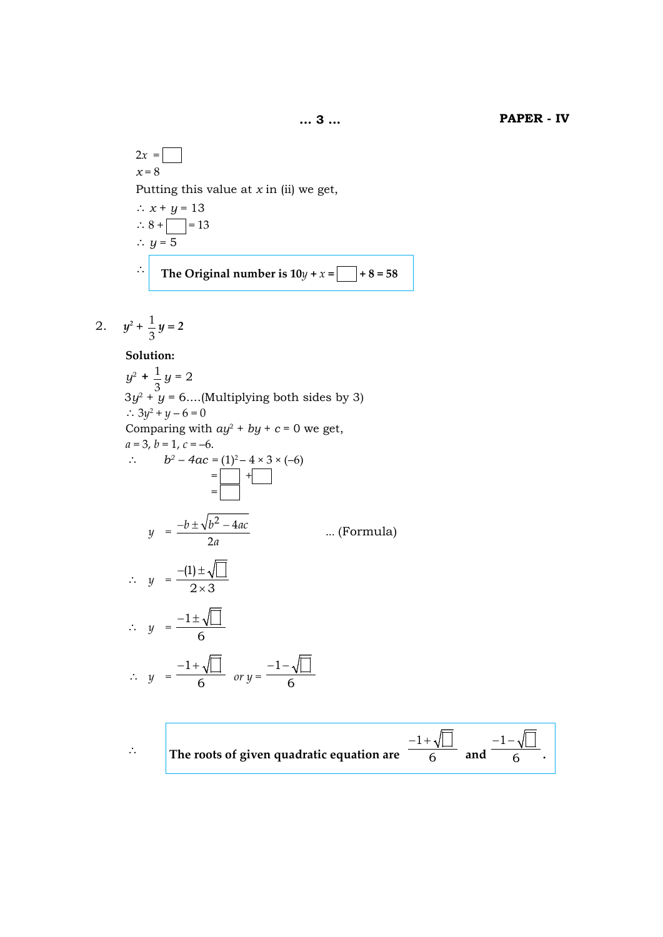$$
2x =
$$
\n
$$
x = 8
$$
\nPutting this value at *x* in (ii) we get,\n
$$
∴ x + y = 13
$$
\n
$$
∴ 8 + \boxed{ } = 13
$$
\n
$$
∴ y = 5
$$
\n
$$
∴ The Original number is 10y + x = \boxed{ } + 8 = 58
$$

2. 
$$
y^2 + \frac{1}{3}y = 2
$$

# **Solution:**

 $y^2 + \frac{1}{x^2}$ 3 *y* = 2  $3y^2 + y = 6$ ....(Multiplying both sides by 3)  $\therefore$  3y<sup>2</sup> + y – 6 = 0 Comparing with  $ay^2 + by + c = 0$  we get,  $a = 3$ ,  $b = 1$ ,  $c = -6$ .  $\therefore$   $b^2 - 4ac = (1)^2 - 4 \times 3 \times (-6)$  = 3 + 3 = 3  $y = \frac{-b \pm \sqrt{b^2 - 4ac}}{2}$ *a*  $^{2}-4$ 2 *...* (Formula)  $\therefore$  *y* =  $\frac{-(1) \pm \sqrt{2 \times 3}}{2 \times 3}$  $-(1)$   $\pm$ ×  $\therefore y = \frac{-1}{ }$ 6  $-1\pm$ ∴  $y = \frac{-1 + \sqrt{11}}{6}$  or  $y = \frac{-1}{6}$ 6  $-1-$ 

$$
\therefore
$$
 The roots of given quadratic equation are  $\frac{-1+\sqrt{2}}{6}$  and  $\frac{-1-\sqrt{2}}{6}$ .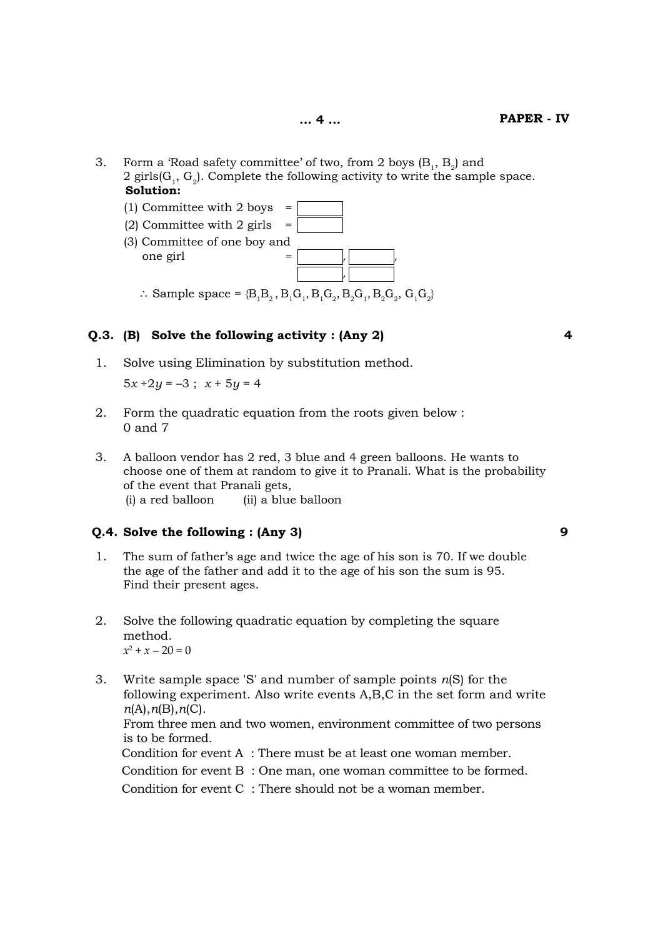- 3. Form a 'Road safety committee' of two, from 2 boys  $(B_1, B_2)$  and 2 girls $(G_1, G_2)$ . Complete the following activity to write the sample space.  **Solution:**
- $(1)$  Committee with 2 boys = (2) Committee with 2 girls  $=$  (3) Committee of one boy and one girl  $\vert$  ,  $\vert$  ,  $\vert$  ,  $\vert$  ,  $\vert$  ,  $\vert$  ,  $\vert$  ,  $\vert$  ,  $\vert$  ,  $\vert$  ,  $\vert$  ,  $\vert$  ,  $\vert$  ,  $\vert$  ,  $\vert$  ,  $\vert$  ,  $\vert$  ,  $\vert$  ,  $\vert$  ,  $\vert$  ,  $\vert$  ,  $\vert$  ,  $\vert$  ,  $\vert$  ,  $\vert$  ,  $\vert$  ,  $\vert$  ,  $\vert$  ,  $\vert$  ,  $\vert$  ,  $\vert$  ,  $\vert$  $\therefore$  Sample space = {B<sub>1</sub>B<sub>2</sub>, B<sub>1</sub>G<sub>1</sub>, B<sub>1</sub>G<sub>2</sub>, B<sub>2</sub>G<sub>1</sub>, B<sub>2</sub>G<sub>2</sub>, G<sub>1</sub>G<sub>2</sub>}

## **Q.3. (B) Solve the following activity : (Any 2) 4**

1. Solve using Elimination by substitution method.

 $5x + 2y = -3$ ;  $x + 5y = 4$ 

- 2. Form the quadratic equation from the roots given below : 0 and 7
- 3. A balloon vendor has 2 red, 3 blue and 4 green balloons. He wants to choose one of them at random to give it to Pranali. What is the probability of the event that Pranali gets, (i) a red balloon (ii) a blue balloon

# **Q.4. Solve the following : (Any 3) 9**

- 1. The sum of father's age and twice the age of his son is 70. If we double the age of the father and add it to the age of his son the sum is 95. Find their present ages.
- 2. Solve the following quadratic equation by completing the square method.  $x^2 + x - 20 = 0$ 
	- 3. Write sample space 'S' and number of sample points *n*(S) for the following experiment. Also write events A,B,C in the set form and write  *n*(A),*n*(B),*n*(C). From three men and two women, environment committee of two persons is to be formed. Condition for event A : There must be at least one woman member. Condition for event B : One man, one woman committee to be formed. Condition for event C : There should not be a woman member.